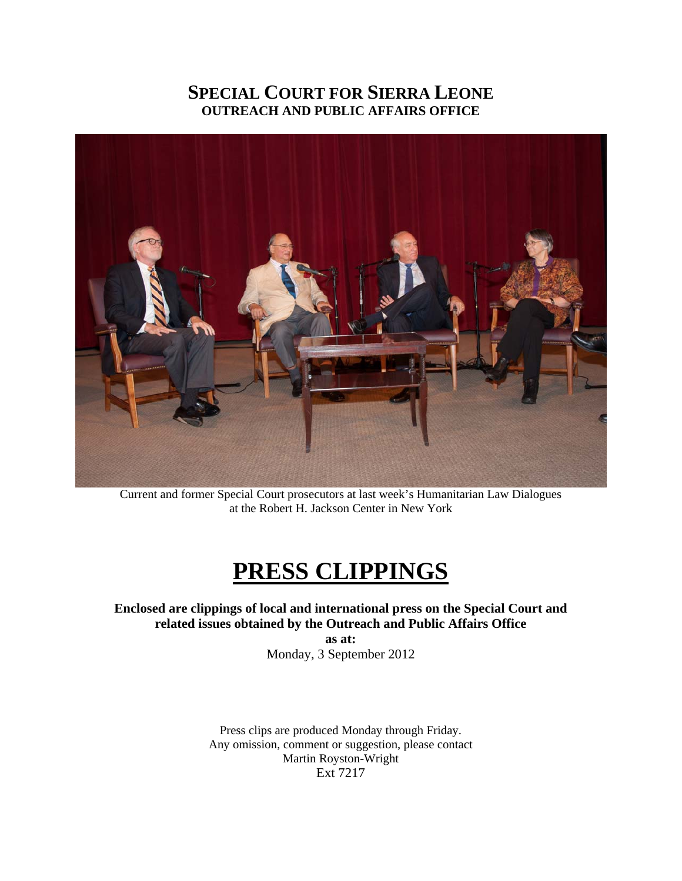### **SPECIAL COURT FOR SIERRA LEONE OUTREACH AND PUBLIC AFFAIRS OFFICE**



Current and former Special Court prosecutors at last week's Humanitarian Law Dialogues at the Robert H. Jackson Center in New York

## **PRESS CLIPPINGS**

**Enclosed are clippings of local and international press on the Special Court and related issues obtained by the Outreach and Public Affairs Office** 

**as at:**  Monday, 3 September 2012

Press clips are produced Monday through Friday. Any omission, comment or suggestion, please contact Martin Royston-Wright Ext 7217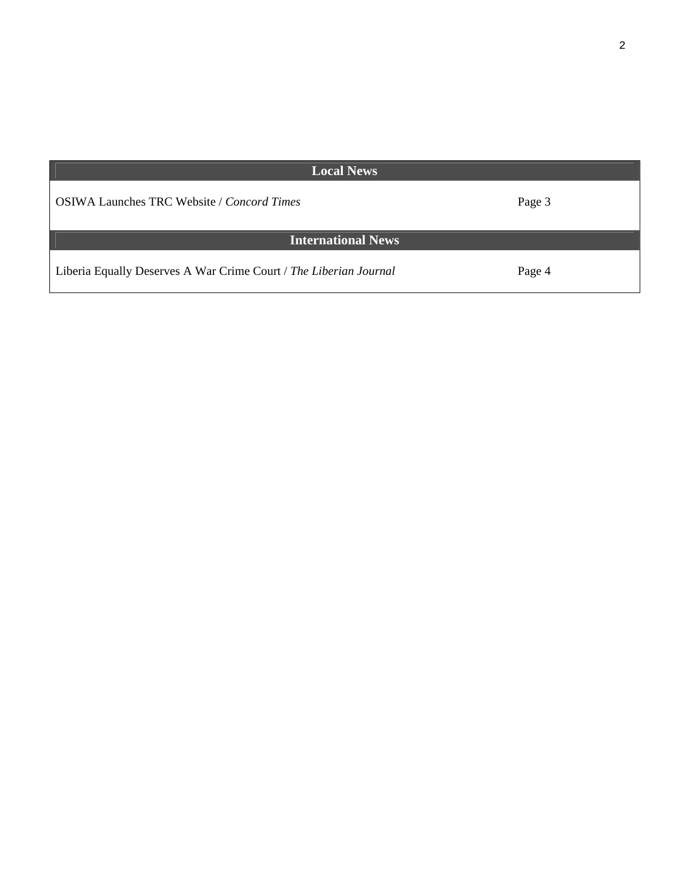| <b>Local News</b>                                                 |        |
|-------------------------------------------------------------------|--------|
| <b>OSIWA Launches TRC Website / Concord Times</b>                 | Page 3 |
| <b>International News</b>                                         |        |
| Liberia Equally Deserves A War Crime Court / The Liberian Journal | Page 4 |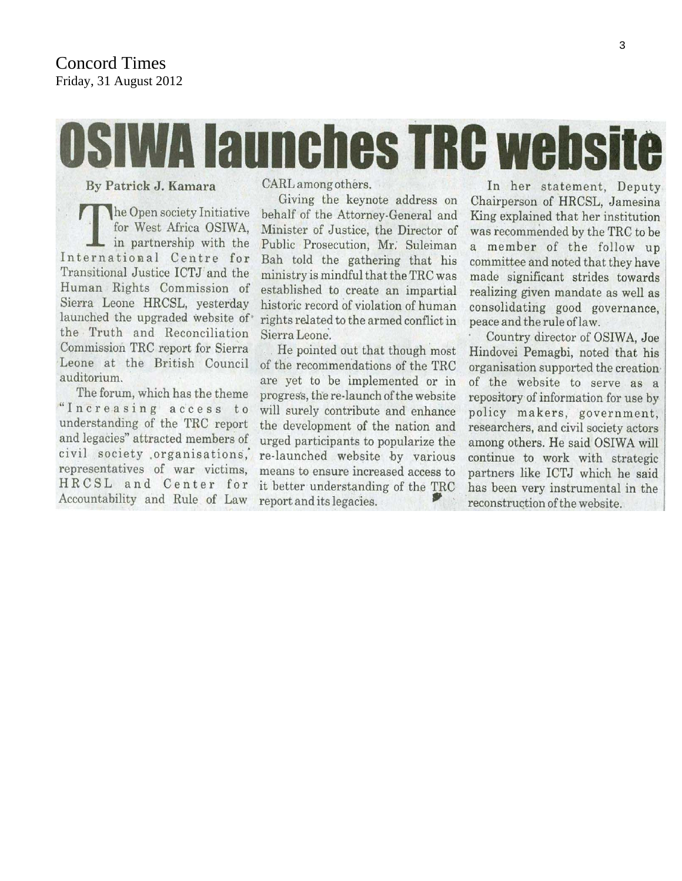#### **Concord Times** Friday, 31 August 2012

# **WA launches TRC website**

By Patrick J. Kamara

he Open society Initiative for West Africa OSIWA, in partnership with the International Centre for Transitional Justice ICTJ and the Human Rights Commission of Sierra Leone HRCSL, yesterday launched the upgraded website of the Truth and Reconciliation Commission TRC report for Sierra Leone at the British Council auditorium.

The forum, which has the theme "Increasing access to understanding of the TRC report and legacies" attracted members of civil society organisations, representatives of war victims. HRCSL and Center for Accountability and Rule of Law

CARL among others.

Giving the keynote address on behalf of the Attorney-General and Minister of Justice, the Director of Public Prosecution, Mr. Suleiman Bah told the gathering that his ministry is mindful that the TRC was established to create an impartial historic record of violation of human rights related to the armed conflict in Sierra Leone.

He pointed out that though most of the recommendations of the TRC are yet to be implemented or in progress, the re-launch of the website will surely contribute and enhance the development of the nation and urged participants to popularize the re-launched website by various means to ensure increased access to it better understanding of the TRC report and its legacies.

In her statement, Deputy Chairperson of HRCSL, Jamesina King explained that her institution was recommended by the TRC to be a member of the follow up committee and noted that they have made significant strides towards realizing given mandate as well as consolidating good governance. peace and the rule of law.

Country director of OSIWA, Joe Hindovei Pemagbi, noted that his organisation supported the creation of the website to serve as a repository of information for use by policy makers, government, researchers, and civil society actors among others. He said OSIWA will continue to work with strategic partners like ICTJ which he said has been very instrumental in the reconstruction of the website.